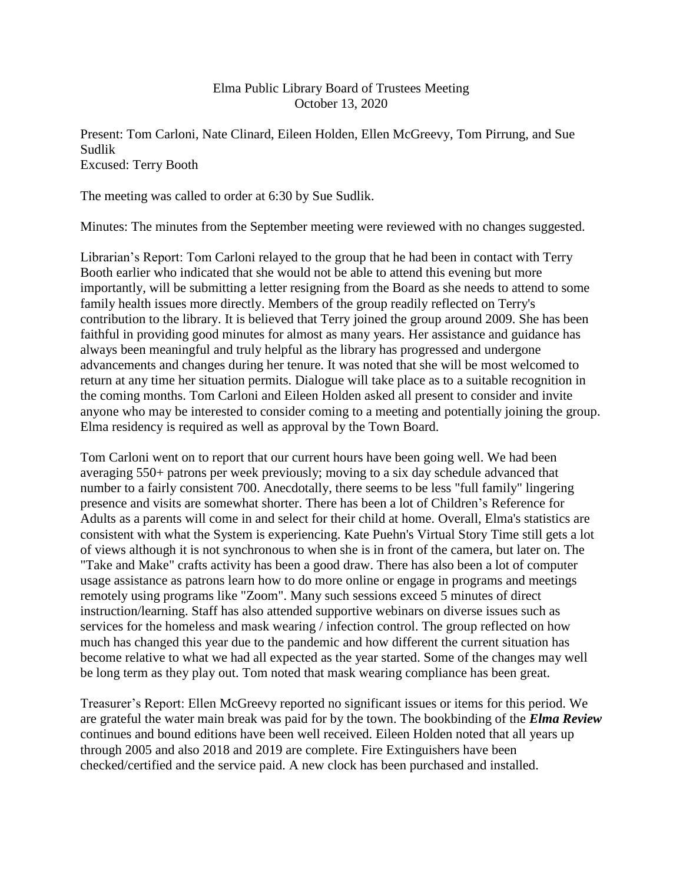# Elma Public Library Board of Trustees Meeting October 13, 2020

Present: Tom Carloni, Nate Clinard, Eileen Holden, Ellen McGreevy, Tom Pirrung, and Sue Sudlik Excused: Terry Booth

The meeting was called to order at 6:30 by Sue Sudlik.

Minutes: The minutes from the September meeting were reviewed with no changes suggested.

Librarian's Report: Tom Carloni relayed to the group that he had been in contact with Terry Booth earlier who indicated that she would not be able to attend this evening but more importantly, will be submitting a letter resigning from the Board as she needs to attend to some family health issues more directly. Members of the group readily reflected on Terry's contribution to the library. It is believed that Terry joined the group around 2009. She has been faithful in providing good minutes for almost as many years. Her assistance and guidance has always been meaningful and truly helpful as the library has progressed and undergone advancements and changes during her tenure. It was noted that she will be most welcomed to return at any time her situation permits. Dialogue will take place as to a suitable recognition in the coming months. Tom Carloni and Eileen Holden asked all present to consider and invite anyone who may be interested to consider coming to a meeting and potentially joining the group. Elma residency is required as well as approval by the Town Board.

Tom Carloni went on to report that our current hours have been going well. We had been averaging 550+ patrons per week previously; moving to a six day schedule advanced that number to a fairly consistent 700. Anecdotally, there seems to be less "full family" lingering presence and visits are somewhat shorter. There has been a lot of Children's Reference for Adults as a parents will come in and select for their child at home. Overall, Elma's statistics are consistent with what the System is experiencing. Kate Puehn's Virtual Story Time still gets a lot of views although it is not synchronous to when she is in front of the camera, but later on. The "Take and Make" crafts activity has been a good draw. There has also been a lot of computer usage assistance as patrons learn how to do more online or engage in programs and meetings remotely using programs like "Zoom". Many such sessions exceed 5 minutes of direct instruction/learning. Staff has also attended supportive webinars on diverse issues such as services for the homeless and mask wearing / infection control. The group reflected on how much has changed this year due to the pandemic and how different the current situation has become relative to what we had all expected as the year started. Some of the changes may well be long term as they play out. Tom noted that mask wearing compliance has been great.

Treasurer's Report: Ellen McGreevy reported no significant issues or items for this period. We are grateful the water main break was paid for by the town. The bookbinding of the *Elma Review* continues and bound editions have been well received. Eileen Holden noted that all years up through 2005 and also 2018 and 2019 are complete. Fire Extinguishers have been checked/certified and the service paid. A new clock has been purchased and installed.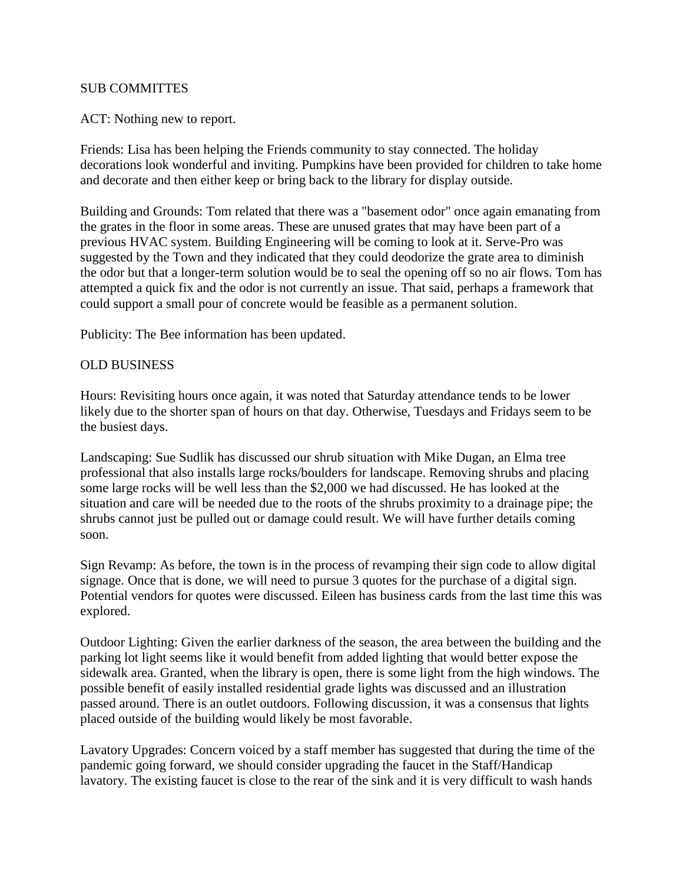# SUB COMMITTES

### ACT: Nothing new to report.

Friends: Lisa has been helping the Friends community to stay connected. The holiday decorations look wonderful and inviting. Pumpkins have been provided for children to take home and decorate and then either keep or bring back to the library for display outside.

Building and Grounds: Tom related that there was a "basement odor" once again emanating from the grates in the floor in some areas. These are unused grates that may have been part of a previous HVAC system. Building Engineering will be coming to look at it. Serve-Pro was suggested by the Town and they indicated that they could deodorize the grate area to diminish the odor but that a longer-term solution would be to seal the opening off so no air flows. Tom has attempted a quick fix and the odor is not currently an issue. That said, perhaps a framework that could support a small pour of concrete would be feasible as a permanent solution.

Publicity: The Bee information has been updated.

## OLD BUSINESS

Hours: Revisiting hours once again, it was noted that Saturday attendance tends to be lower likely due to the shorter span of hours on that day. Otherwise, Tuesdays and Fridays seem to be the busiest days.

Landscaping: Sue Sudlik has discussed our shrub situation with Mike Dugan, an Elma tree professional that also installs large rocks/boulders for landscape. Removing shrubs and placing some large rocks will be well less than the \$2,000 we had discussed. He has looked at the situation and care will be needed due to the roots of the shrubs proximity to a drainage pipe; the shrubs cannot just be pulled out or damage could result. We will have further details coming soon.

Sign Revamp: As before, the town is in the process of revamping their sign code to allow digital signage. Once that is done, we will need to pursue 3 quotes for the purchase of a digital sign. Potential vendors for quotes were discussed. Eileen has business cards from the last time this was explored.

Outdoor Lighting: Given the earlier darkness of the season, the area between the building and the parking lot light seems like it would benefit from added lighting that would better expose the sidewalk area. Granted, when the library is open, there is some light from the high windows. The possible benefit of easily installed residential grade lights was discussed and an illustration passed around. There is an outlet outdoors. Following discussion, it was a consensus that lights placed outside of the building would likely be most favorable.

Lavatory Upgrades: Concern voiced by a staff member has suggested that during the time of the pandemic going forward, we should consider upgrading the faucet in the Staff/Handicap lavatory. The existing faucet is close to the rear of the sink and it is very difficult to wash hands